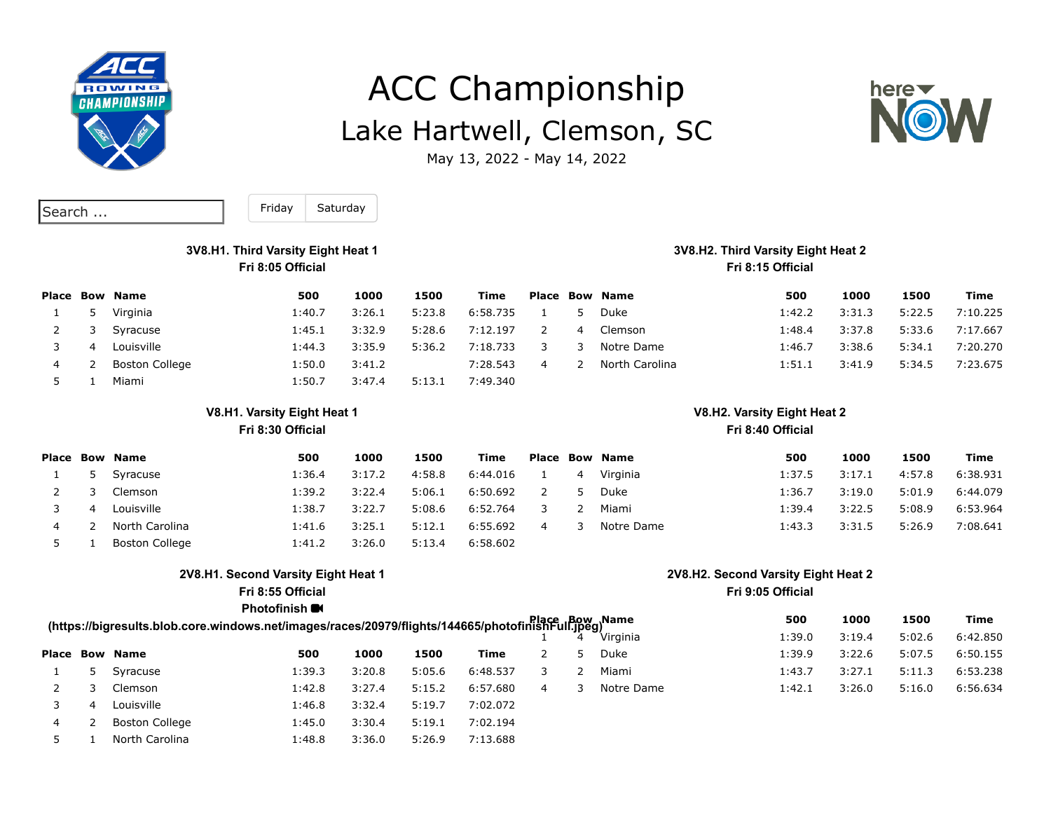

# ACC Championship Lake Hartwell, Clemson, SC



May 13, 2022 - May 14, 2022

| Search | $\cdots$ |
|--------|----------|
|--------|----------|

Saturday Friday

#### **3V8.H1. Third Varsity Eight Heat 1 Fri 8:05 Official**

#### **Place Bow Name 500 1000 1500 Time** 1 5 Virginia 1:40.7 3:26.1 5:23.8 6:58.735 2 3 Syracuse 1:45.1 3:32.9 5:28.6 7:12.197 3 4 Louisville 1:44.3 3:35.9 5:36.2 7:18.733 4 2 Boston College 1:50.0 3:41.2 7:28.543 5 1 Miami 1:50.7 3:47.4 5:13.1 7:49.340 **Place Bow Name 500 1000 1500 Time** 1 5 Duke 1:42.2 3:31.3 5:22.5 7:10.225 2 4 Clemson 1:48.4 3:37.8 5:33.6 7:17.667 3 3 Notre Dame 1:46.7 3:38.6 5:34.1 7:20.270 4 2 North Carolina 1:51.1 3:41.9 5:34.5 7:23.675

## **V8.H1. Varsity Eight Heat 1**

#### **Fri 8:30 Official**

|    | Place Bow Name        | 500    | 1000   | 1500   | Time     |                | <b>Place Bow Name</b> | 500    | 1000   | 1500   | Time     |
|----|-----------------------|--------|--------|--------|----------|----------------|-----------------------|--------|--------|--------|----------|
| 5  | Syracuse              | 1:36.4 | 3:17.2 | 4:58.8 | 6:44.016 | $\overline{4}$ | Virginia              | 1:37.5 | 3:17.1 | 4:57.8 | 6:38.931 |
|    | <b>Clemson</b>        | 1:39.2 | 3:22.4 | 5:06.1 | 6:50.692 |                | 5 Duke                | 1:36.7 | 3:19.0 | 5:01.9 | 6:44.079 |
| -4 | Louisville            | 38.7ء  | 3:22.7 | 5:08.6 | 6:52.764 |                | Miami                 | 1:39.4 | 3:22.5 | 5:08.9 | 6:53.964 |
|    | North Carolina        | 1:41.6 | 3:25.1 | 5:12.1 | 6:55.692 |                | Notre Dame            | 1:43.3 | 3:31.5 | 5:26.9 | 7:08.641 |
|    | <b>Boston College</b> | 1:41.2 | 3:26.0 | 5:13.4 | 6:58.602 |                |                       |        |        |        |          |

#### **2V8.H1. Second Varsity Eight Heat 1**

**Fri 8:55 Official**

#### **Photofinish**

#### **2V8.H2. Second Varsity Eight Heat 2 Fri 9:05 Official**

|   | Blace Bow<br>(https://bigresults.blob.core.windows.net/images/races/20979/flights/144665/photofinishFull.jpeg) | 500    | 1000   | 1500   | Time     |   |            |        |        |        |          |
|---|----------------------------------------------------------------------------------------------------------------|--------|--------|--------|----------|---|------------|--------|--------|--------|----------|
|   |                                                                                                                |        |        |        |          |   | Virginia   | 1:39.0 | 3:19.4 | 5:02.6 | 6:42.850 |
|   | <b>Place Bow Name</b>                                                                                          | 500    | 1000   | 1500   | Time     |   | Duke       | 1:39.9 | 3:22.6 | 5:07.5 | 6:50.155 |
|   | Syracuse                                                                                                       | 1:39.3 | 3:20.8 | 5:05.6 | 6:48.537 |   | Miami      | 1:43.7 | 3:27.1 | 5:11.3 | 6:53.238 |
|   | <b>Clemson</b>                                                                                                 | 1:42.8 | 3:27.4 | 5:15.2 | 6:57.680 | 4 | Notre Dame | 1:42.1 | 3:26.0 | 5:16.0 | 6:56.634 |
|   | Louisville                                                                                                     | 1:46.8 | 3:32.4 | 5:19.7 | 7:02.072 |   |            |        |        |        |          |
| 4 | <b>Boston College</b>                                                                                          | 1:45.0 | 3:30.4 | 5:19.1 | 7:02.194 |   |            |        |        |        |          |
|   | North Carolina                                                                                                 | 1:48.8 | 3:36.0 | 5:26.9 | 7:13.688 |   |            |        |        |        |          |

#### **3V8.H2. Third Varsity Eight Heat 2 Fri 8:15 Official**

**V8.H2. Varsity Eight Heat 2 Fri 8:40 Official**